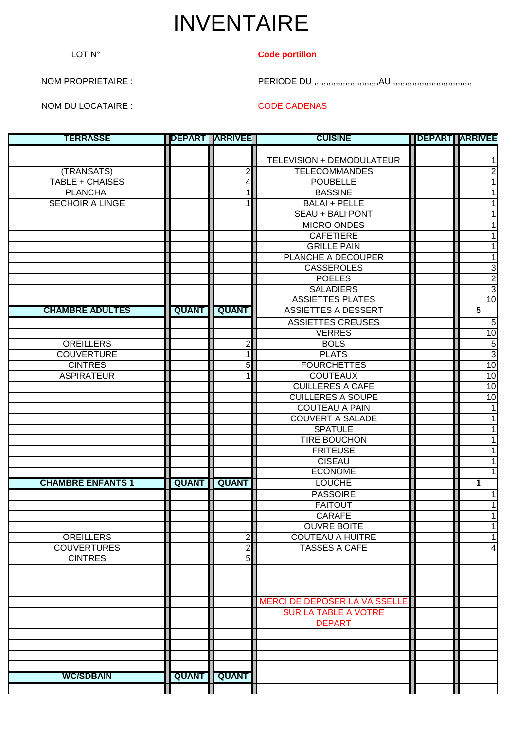## INVENTAIRE

## LOT N° **Code portillon**

NOM PROPRIETAIRE : PERIODE DU ,,,,,,,,,,,,,,,,,,,,,,,,,,,AU ,,,,,,,,,,,,,,,,,,,,,,,,,,,,,,,,,

NOM DU LOCATAIRE : CODE CADENAS

| <b>TERRASSE</b>          | <b>IDEPART</b> | <b>ARRIVEE</b>          | <b>CUISINE</b>                | <b>DEPART ARRIVEE</b>   |
|--------------------------|----------------|-------------------------|-------------------------------|-------------------------|
|                          |                |                         |                               |                         |
|                          |                |                         | TELEVISION + DEMODULATEUR     |                         |
| (TRANSATS)               |                | $\overline{c}$          | <b>TELECOMMANDES</b>          | $\overline{2}$          |
| <b>TABLE + CHAISES</b>   |                | 4                       | <b>POUBELLE</b>               |                         |
| <b>PLANCHA</b>           |                | 1                       | <b>BASSINE</b>                |                         |
| <b>SECHOIR A LINGE</b>   |                | 1                       | <b>BALAI + PELLE</b>          |                         |
|                          |                |                         | <b>SEAU + BALI PONT</b>       |                         |
|                          |                |                         | <b>MICRO ONDES</b>            |                         |
|                          |                |                         | <b>CAFETIERE</b>              |                         |
|                          |                |                         | <b>GRILLE PAIN</b>            |                         |
|                          |                |                         | PLANCHE A DECOUPER            | 1                       |
|                          |                |                         | <b>CASSEROLES</b>             | 3                       |
|                          |                |                         | <b>POELES</b>                 | $\overline{2}$          |
|                          |                |                         | <b>SALADIERS</b>              | $\overline{3}$          |
|                          |                |                         | <b>ASSIETTES PLATES</b>       | 10                      |
| <b>CHAMBRE ADULTES</b>   | <b>QUANT</b>   | <b>QUANT</b>            | <b>ASSIETTES A DESSERT</b>    | $\overline{\mathbf{5}}$ |
|                          |                |                         | <b>ASSIETTES CREUSES</b>      | 5                       |
|                          |                |                         | <b>VERRES</b>                 | 10                      |
| <b>OREILLERS</b>         |                | $\overline{\mathbf{c}}$ | <b>BOLS</b>                   | $\overline{5}$          |
| <b>COUVERTURE</b>        |                | 1                       | <b>PLATS</b>                  | $\overline{3}$          |
| <b>CINTRES</b>           |                | 5                       | <b>FOURCHETTES</b>            | 10                      |
| <b>ASPIRATEUR</b>        |                | 1                       | <b>COUTEAUX</b>               | 10                      |
|                          |                |                         | <b>CUILLERES A CAFE</b>       | 10                      |
|                          |                |                         | <b>CUILLERES A SOUPE</b>      | 10                      |
|                          |                |                         | <b>COUTEAU A PAIN</b>         |                         |
|                          |                |                         | <b>COUVERT A SALADE</b>       |                         |
|                          |                |                         | <b>SPATULE</b>                |                         |
|                          |                |                         | <b>TIRE BOUCHON</b>           |                         |
|                          |                |                         | <b>FRITEUSE</b>               |                         |
|                          |                |                         | <b>CISEAU</b>                 |                         |
|                          |                |                         | <b>ECONOME</b>                |                         |
| <b>CHAMBRE ENFANTS 1</b> | <b>QUANT</b>   | <b>QUANT</b>            | <b>LOUCHE</b>                 | $\mathbf 1$             |
|                          |                |                         | <b>PASSOIRE</b>               |                         |
|                          |                |                         | <b>FAITOUT</b>                |                         |
|                          |                |                         | <b>CARAFE</b>                 |                         |
|                          |                |                         | <b>OUVRE BOITE</b>            |                         |
| <b>OREILLERS</b>         |                | $\overline{c}$          | <b>COUTEAU A HUITRE</b>       |                         |
| <b>COUVERTURES</b>       |                | $\overline{2}$          | <b>TASSES A CAFE</b>          | 4                       |
| <b>CINTRES</b>           |                | 5                       |                               |                         |
|                          |                |                         |                               |                         |
|                          |                |                         |                               |                         |
|                          |                |                         |                               |                         |
|                          |                |                         | MERCI DE DEPOSER LA VAISSELLE |                         |
|                          |                |                         | <b>SUR LA TABLE A VOTRE</b>   |                         |
|                          |                |                         | <b>DEPART</b>                 |                         |
|                          |                |                         |                               |                         |
|                          |                |                         |                               |                         |
|                          |                |                         |                               |                         |
|                          |                |                         |                               |                         |
| <b>WC/SDBAIN</b>         | <b>QUANT</b>   | <b>QUANT</b>            |                               |                         |
|                          |                |                         |                               |                         |